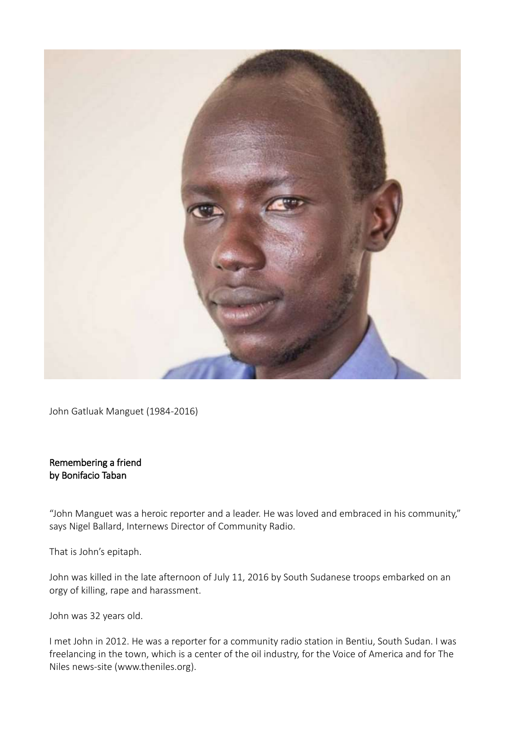

John Gatluak Manguet (1984-2016)

## Remembering a friend by Bonifacio Taban

"John Manguet was a heroic reporter and a leader. He was loved and embraced in his community," says Nigel Ballard, Internews Director of Community Radio.

That is John's epitaph.

John was killed in the late afternoon of July 11, 2016 by South Sudanese troops embarked on an orgy of killing, rape and harassment.

John was 32 years old.

I met John in 2012. He was a reporter for a community radio station in Bentiu, South Sudan. I was freelancing in the town, which is a center of the oil industry, for the Voice of America and for The Niles news-site [\(www.theniles.org\)](http://www.theniles.org/).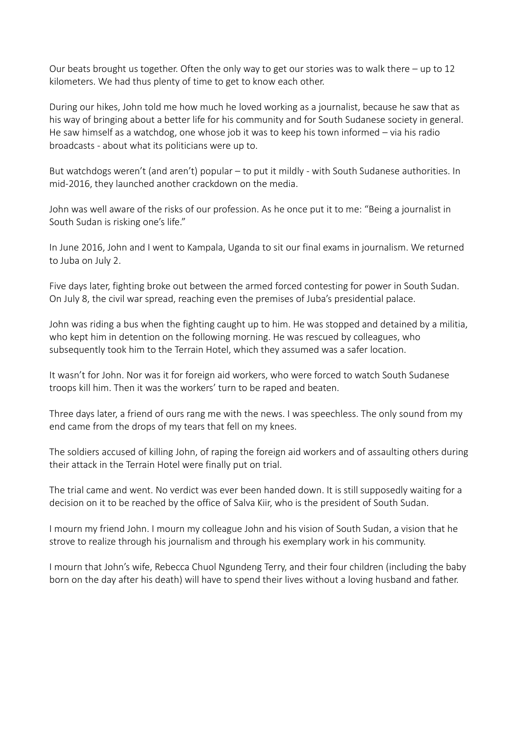Our beats brought us together. Often the only way to get our stories was to walk there  $-$  up to 12 kilometers. We had thus plenty of time to get to know each other.

During our hikes, John told me how much he loved working as a journalist, because he saw that as his way of bringing about a better life for his community and for South Sudanese society in general. He saw himself as a watchdog, one whose job it was to keep his town informed – via his radio broadcasts - about what its politicians were up to.

But watchdogs weren't (and aren't) popular – to put it mildly - with South Sudanese authorities. In mid-2016, they launched another crackdown on the media.

John was well aware of the risks of our profession. As he once put it to me: "Being a journalist in South Sudan is risking one's life."

In June 2016, John and I went to Kampala, Uganda to sit our final exams in journalism. We returned to Juba on July 2.

Five days later, fighting broke out between the armed forced contesting for power in South Sudan. On July 8, the civil war spread, reaching even the premises of Juba's presidential palace.

John was riding a bus when the fighting caught up to him. He was stopped and detained by a militia, who kept him in detention on the following morning. He was rescued by colleagues, who subsequently took him to the Terrain Hotel, which they assumed was a safer location.

It wasn't for John. Nor was it for foreign aid workers, who were forced to watch South Sudanese troops kill him. Then it was the workers' turn to be raped and beaten.

Three days later, a friend of ours rang me with the news. I was speechless. The only sound from my end came from the drops of my tears that fell on my knees.

The soldiers accused of killing John, of raping the foreign aid workers and of assaulting others during their attack in the Terrain Hotel were finally put on trial.

The trial came and went. No verdict was ever been handed down. It is still supposedly waiting for a decision on it to be reached by the office of Salva Kiir, who is the president of South Sudan.

I mourn my friend John. I mourn my colleague John and his vision of South Sudan, a vision that he strove to realize through his journalism and through his exemplary work in his community.

I mourn that John's wife, Rebecca Chuol Ngundeng Terry, and their four children (including the baby born on the day after his death) will have to spend their lives without a loving husband and father.